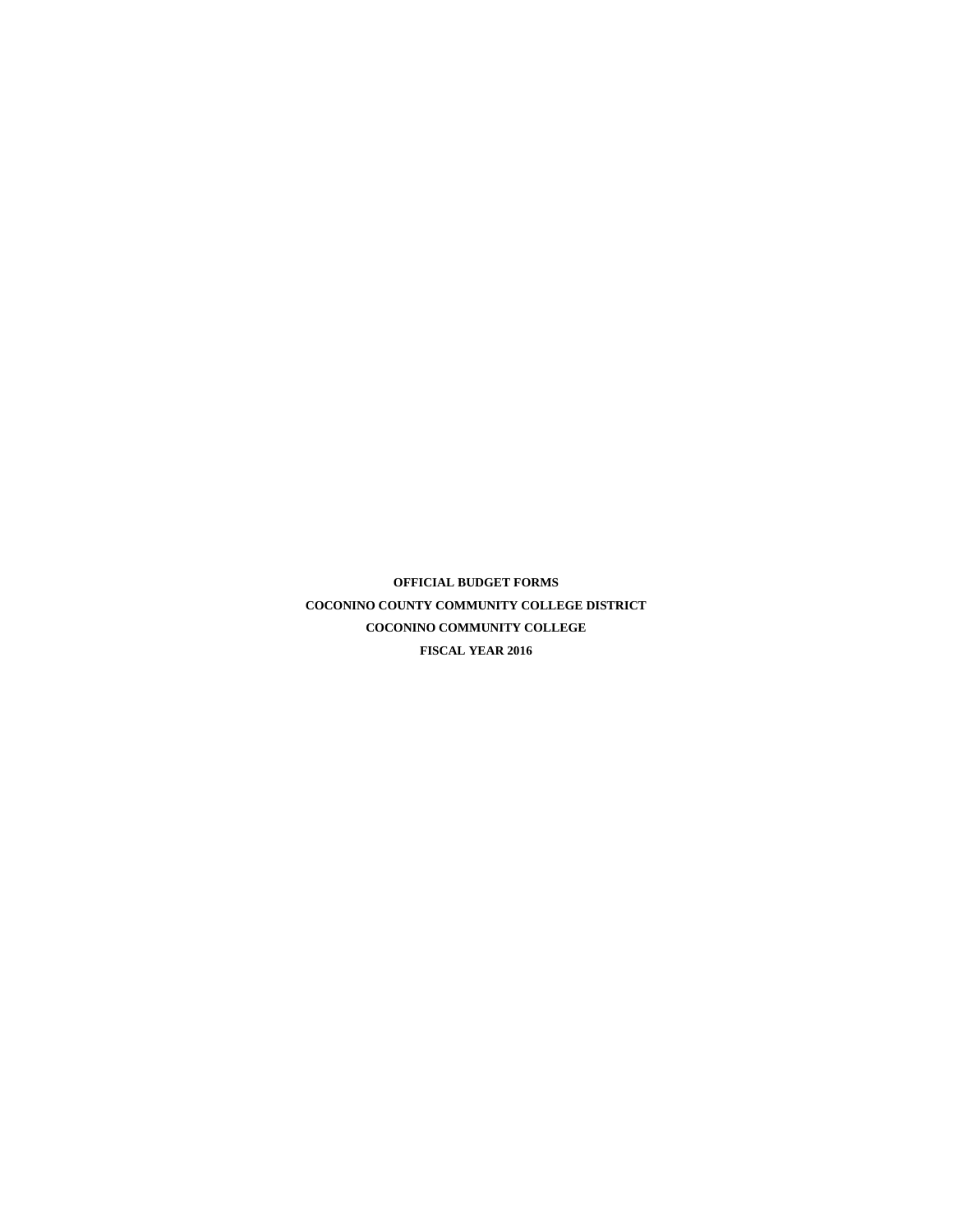**OFFICIAL BUDGET FORMS COCONINO COUNTY COMMUNITY COLLEGE DISTRICT COCONINO COMMUNITY COLLEGE FISCAL YEAR 2016**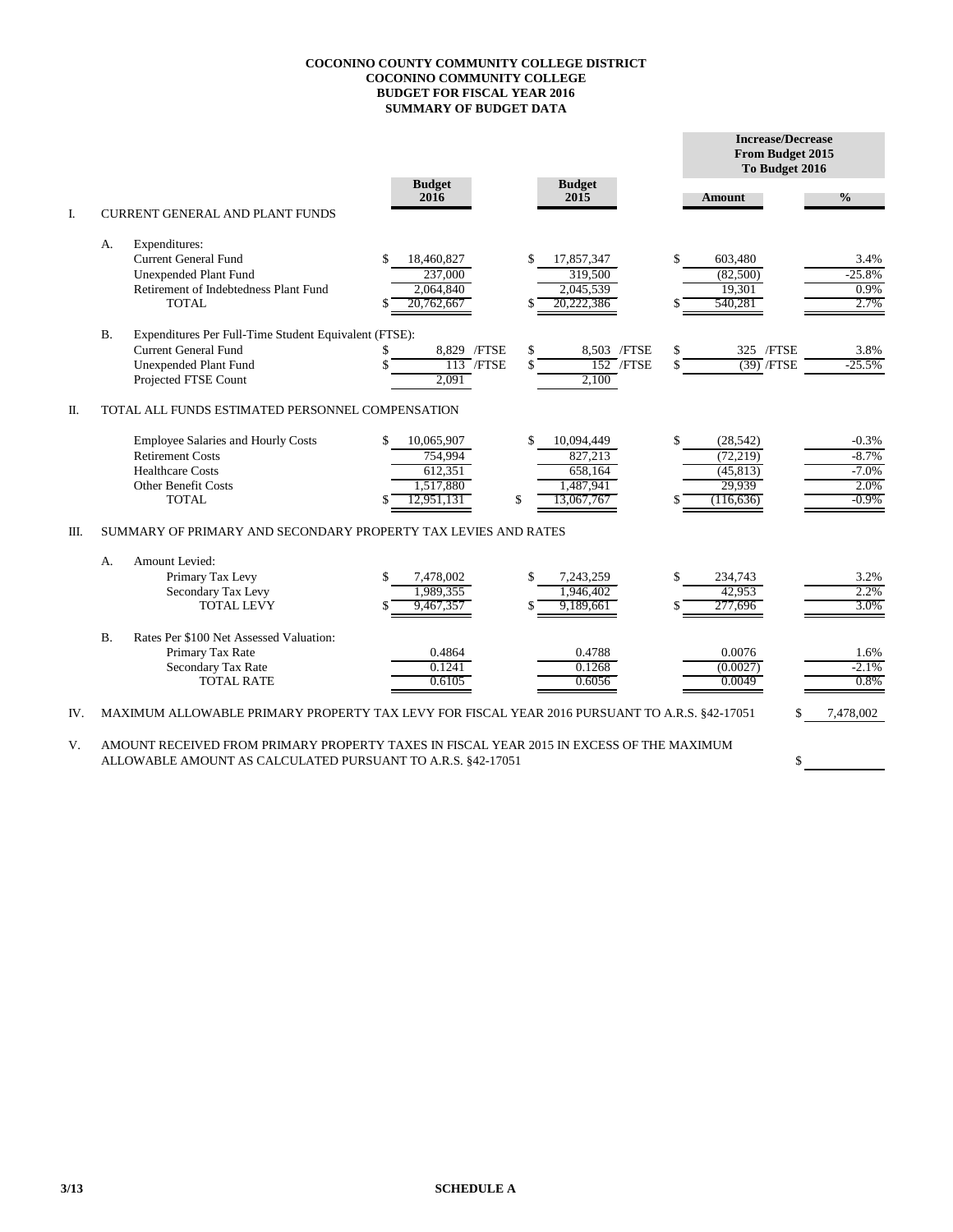## **COCONINO COUNTY COMMUNITY COLLEGE DISTRICT COCONINO COMMUNITY COLLEGE BUDGET FOR FISCAL YEAR 2016 SUMMARY OF BUDGET DATA**

|     |           |                                                                                               | <b>Budget</b>    | <b>Budget</b>     | <b>Increase/Decrease</b><br>From Budget 2015<br>To Budget 2016 |               |  |  |
|-----|-----------|-----------------------------------------------------------------------------------------------|------------------|-------------------|----------------------------------------------------------------|---------------|--|--|
|     |           | <b>CURRENT GENERAL AND PLANT FUNDS</b>                                                        | 2016             | 2015              | Amount                                                         | $\frac{0}{0}$ |  |  |
| I.  |           |                                                                                               |                  |                   |                                                                |               |  |  |
|     | A.        | Expenditures:                                                                                 |                  |                   |                                                                |               |  |  |
|     |           | <b>Current General Fund</b>                                                                   | 18,460,827       | \$<br>17,857,347  | \$<br>603,480                                                  | 3.4%          |  |  |
|     |           | <b>Unexpended Plant Fund</b>                                                                  | 237,000          | 319,500           | (82,500)                                                       | $-25.8%$      |  |  |
|     |           | Retirement of Indebtedness Plant Fund<br><b>TOTAL</b>                                         | 2,064,840        | 2.045.539         | 19,301                                                         | 0.9%<br>2.7%  |  |  |
|     |           |                                                                                               | 20,762,667       | 20,222,386        | 540,281                                                        |               |  |  |
|     | <b>B.</b> | Expenditures Per Full-Time Student Equivalent (FTSE):                                         |                  |                   |                                                                |               |  |  |
|     |           | <b>Current General Fund</b>                                                                   | 8,829 / FTSE     | \$<br>8,503 /FTSE | \$<br>325 / FTSE                                               | 3.8%          |  |  |
|     |           | Unexpended Plant Fund                                                                         | $113$ /FTSE      | $152$ /FTSE       | $(39)$ /FTSE                                                   | $-25.5%$      |  |  |
|     |           | Projected FTSE Count                                                                          | 2,091            | 2,100             |                                                                |               |  |  |
| Π.  |           | TOTAL ALL FUNDS ESTIMATED PERSONNEL COMPENSATION                                              |                  |                   |                                                                |               |  |  |
|     |           | <b>Employee Salaries and Hourly Costs</b>                                                     | \$<br>10,065,907 | \$<br>10,094,449  | \$<br>(28, 542)                                                | $-0.3%$       |  |  |
|     |           | <b>Retirement Costs</b>                                                                       | 754,994          | 827,213           | (72, 219)                                                      | $-8.7%$       |  |  |
|     |           | <b>Healthcare Costs</b>                                                                       | 612,351          | 658,164           | (45, 813)                                                      | $-7.0%$       |  |  |
|     |           | <b>Other Benefit Costs</b>                                                                    | 1,517,880        | 1,487,941         | 29,939                                                         | 2.0%          |  |  |
|     |           | <b>TOTAL</b>                                                                                  | 12,951,131       | \$<br>13,067,767  | (116, 636)                                                     | $-0.9\%$      |  |  |
| Ш.  |           | SUMMARY OF PRIMARY AND SECONDARY PROPERTY TAX LEVIES AND RATES                                |                  |                   |                                                                |               |  |  |
|     | А.        | Amount Levied:                                                                                |                  |                   |                                                                |               |  |  |
|     |           | Primary Tax Levy                                                                              | 7,478,002        | \$<br>7,243,259   | \$<br>234,743                                                  | 3.2%          |  |  |
|     |           | Secondary Tax Levy                                                                            | 1,989,355        | 1,946,402         | 42,953                                                         | 2.2%          |  |  |
|     |           | TOTAL LEVY                                                                                    | 9,467,357        | 9,189,661         | 277,696                                                        | 3.0%          |  |  |
|     | B.        | Rates Per \$100 Net Assessed Valuation:                                                       |                  |                   |                                                                |               |  |  |
|     |           | Primary Tax Rate                                                                              | 0.4864           | 0.4788            | 0.0076                                                         | 1.6%          |  |  |
|     |           | Secondary Tax Rate                                                                            | 0.1241           | 0.1268            | (0.0027)                                                       | $-2.1%$       |  |  |
|     |           | <b>TOTAL RATE</b>                                                                             | 0.6105           | 0.6056            | 0.0049                                                         | 0.8%          |  |  |
| IV. |           | MAXIMUM ALLOWABLE PRIMARY PROPERTY TAX LEVY FOR FISCAL YEAR 2016 PURSUANT TO A.R.S. §42-17051 |                  |                   |                                                                | 7,478,002     |  |  |

\$

V. AMOUNT RECEIVED FROM PRIMARY PROPERTY TAXES IN FISCAL YEAR 2015 IN EXCESS OF THE MAXIMUM ALLOWABLE AMOUNT AS CALCULATED PURSUANT TO A.R.S. §42-17051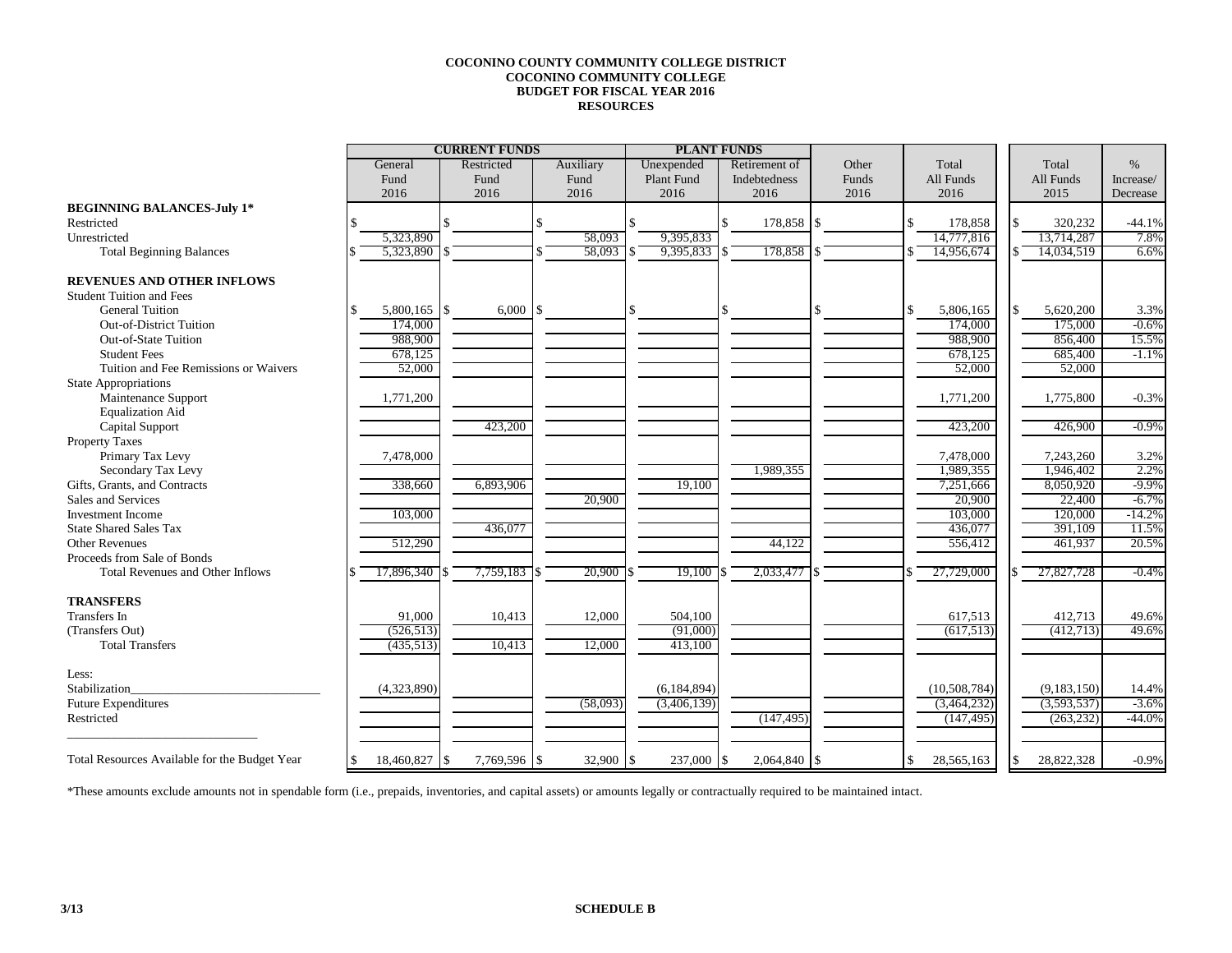## **COCONINO COUNTY COMMUNITY COLLEGE DISTRICT COCONINO COMMUNITY COLLEGE BUDGET FOR FISCAL YEAR 2016 RESOURCES**

|                                               |    | <b>CURRENT FUNDS</b> |            |              |           |          |                   | <b>PLANT FUNDS</b> |       |     |                |             |           |
|-----------------------------------------------|----|----------------------|------------|--------------|-----------|----------|-------------------|--------------------|-------|-----|----------------|-------------|-----------|
|                                               |    | General              | Restricted |              | Auxiliary |          | Unexpended        | Retirement of      | Other |     | Total          | Total       | $\%$      |
|                                               |    | Fund                 | Fund       |              | Fund      |          | <b>Plant Fund</b> | Indebtedness       | Funds |     | All Funds      | All Funds   | Increase/ |
|                                               |    | 2016                 | 2016       |              | 2016      |          | 2016              | 2016               | 2016  |     | 2016           | 2015        | Decrease  |
| <b>BEGINNING BALANCES-July 1*</b>             |    |                      |            |              |           |          |                   |                    |       |     |                |             |           |
| Restricted                                    |    |                      |            |              |           |          |                   | 178,858 \$         |       | \$. | 178,858        | 320,232     | $-44.1%$  |
| Unrestricted                                  |    | 5,323,890            |            |              | 58.093    |          | 9,395,833         |                    |       |     | 14,777,816     | 13.714.287  | 7.8%      |
| <b>Total Beginning Balances</b>               |    | 5,323,890            |            |              | 58.093    |          | 9,395,833         | 178,858 \$         |       |     | 14,956,674     | 14.034.519  | 6.6%      |
| <b>REVENUES AND OTHER INFLOWS</b>             |    |                      |            |              |           |          |                   |                    |       |     |                |             |           |
| <b>Student Tuition and Fees</b>               |    |                      |            |              |           |          |                   |                    |       |     |                |             |           |
| <b>General Tuition</b>                        |    | $5,800,165$ \\$      |            | 6,000        |           |          |                   |                    |       | \$  | 5,806,165      | 5,620,200   | 3.3%      |
| Out-of-District Tuition                       |    | 174,000              |            |              |           |          |                   |                    |       |     | 174,000        | 175,000     | $-0.6%$   |
| Out-of-State Tuition                          |    | 988,900              |            |              |           |          |                   |                    |       |     | 988,900        | 856,400     | 15.5%     |
| <b>Student Fees</b>                           |    | 678,125              |            |              |           |          |                   |                    |       |     | 678,125        | 685,400     | $-1.1%$   |
| Tuition and Fee Remissions or Waivers         |    | 52,000               |            |              |           |          |                   |                    |       |     | 52,000         | 52,000      |           |
| <b>State Appropriations</b>                   |    |                      |            |              |           |          |                   |                    |       |     |                |             |           |
| Maintenance Support                           |    | 1,771,200            |            |              |           |          |                   |                    |       |     | 1,771,200      | 1,775,800   | $-0.3%$   |
| <b>Equalization Aid</b>                       |    |                      |            |              |           |          |                   |                    |       |     |                |             |           |
| Capital Support                               |    |                      |            | 423,200      |           |          |                   |                    |       |     | 423,200        | 426,900     | $-0.9%$   |
| <b>Property Taxes</b>                         |    |                      |            |              |           |          |                   |                    |       |     |                |             |           |
| Primary Tax Levy                              |    | 7,478,000            |            |              |           |          |                   |                    |       |     | 7,478,000      | 7,243,260   | 3.2%      |
| Secondary Tax Levy                            |    |                      |            |              |           |          |                   | 1,989,355          |       |     | 1,989,355      | 1,946,402   | 2.2%      |
| Gifts, Grants, and Contracts                  |    | 338,660              |            | 6,893,906    |           |          | 19,100            |                    |       |     | 7,251,666      | 8,050,920   | $-9.9%$   |
| Sales and Services                            |    |                      |            |              | 20,900    |          |                   |                    |       |     | 20,900         | 22,400      | $-6.7%$   |
| <b>Investment</b> Income                      |    | 103,000              |            |              |           |          |                   |                    |       |     | 103,000        | 120,000     | $-14.2%$  |
| <b>State Shared Sales Tax</b>                 |    |                      |            | 436,077      |           |          |                   |                    |       |     | 436,077        | 391,109     | 11.5%     |
| <b>Other Revenues</b>                         |    | 512,290              |            |              |           |          |                   | 44,122             |       |     | 556,412        | 461,937     | 20.5%     |
| Proceeds from Sale of Bonds                   |    |                      |            |              |           |          |                   |                    |       |     |                |             |           |
| Total Revenues and Other Inflows              |    | 17,896,340           |            | 7,759,183    | 20,900    |          | 19,100            | 2,033,477          |       |     | 27,729,000     | 27,827,728  | $-0.4%$   |
| <b>TRANSFERS</b>                              |    |                      |            |              |           |          |                   |                    |       |     |                |             |           |
| <b>Transfers</b> In                           |    | 91,000               |            | 10,413       | 12,000    |          | 504,100           |                    |       |     | 617,513        | 412,713     | 49.6%     |
| (Transfers Out)                               |    | (526, 513)           |            |              |           |          | (91,000)          |                    |       |     | (617,513)      | (412,713)   | 49.6%     |
| <b>Total Transfers</b>                        |    | (435,513)            |            | 10,413       | 12,000    |          | 413,100           |                    |       |     |                |             |           |
| Less:                                         |    |                      |            |              |           |          |                   |                    |       |     |                |             |           |
| Stabilization                                 |    | (4,323,890)          |            |              |           |          | (6, 184, 894)     |                    |       |     | (10, 508, 784) | (9,183,150) | 14.4%     |
| <b>Future Expenditures</b>                    |    |                      |            |              | (58,093)  |          | (3,406,139)       |                    |       |     | (3,464,232)    | (3,593,537) | $-3.6%$   |
| Restricted                                    |    |                      |            |              |           |          |                   | (147, 495)         |       |     | (147, 495)     | (263, 232)  | $-44.0%$  |
| Total Resources Available for the Budget Year | -8 | 18,460,827 \$        |            | 7,769,596 \$ | 32,900    | <b>S</b> | $237,000$ \$      | $2,064,840$ \\$    |       | \$  | 28,565,163     | 28,822,328  | $-0.9%$   |
|                                               |    |                      |            |              |           |          |                   |                    |       |     |                |             |           |

\*These amounts exclude amounts not in spendable form (i.e., prepaids, inventories, and capital assets) or amounts legally or contractually required to be maintained intact.